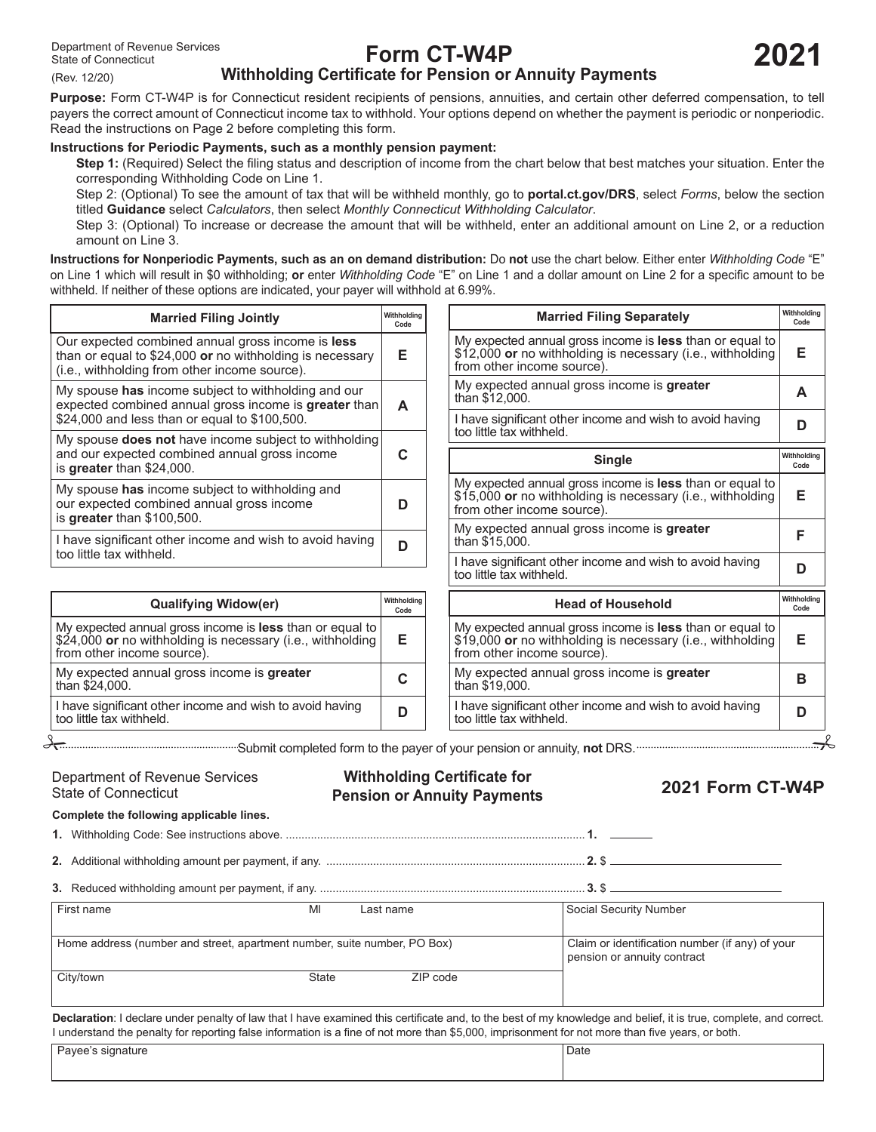(Rev. 12/20)

# **Form CT-W4P**

**2021**

# **Withholding Certificate for Pension or Annuity Payments**

**Purpose:** Form CT‑W4P is for Connecticut resident recipients of pensions, annuities, and certain other deferred compensation, to tell payers the correct amount of Connecticut income tax to withhold. Your options depend on whether the payment is periodic or nonperiodic. Read the instructions on Page 2 before completing this form.

## **Instructions for Periodic Payments, such as a monthly pension payment:**

**Step 1:** (Required) Select the filing status and description of income from the chart below that best matches your situation. Enter the corresponding Withholding Code on Line 1.

Step 2: (Optional) To see the amount of tax that will be withheld monthly, go to **portal.ct.gov/DRS**, select *Forms*, below the section titled **Guidance** select *Calculators*, then select *Monthly Connecticut Withholding Calculator*.

Step 3: (Optional) To increase or decrease the amount that will be withheld, enter an additional amount on Line 2, or a reduction amount on Line 3.

**Instructions for Nonperiodic Payments, such as an on demand distribution:** Do **not** use the chart below. Either enter *Withholding Code* "E" on Line 1 which will result in \$0 withholding; **or** enter *Withholding Code* "E" on Line 1 and a dollar amount on Line 2 for a specific amount to be withheld. If neither of these options are indicated, your payer will withhold at 6.99%.

| <b>Married Filing Jointly</b>                                                                                                                                          | Withholdina<br>Code |
|------------------------------------------------------------------------------------------------------------------------------------------------------------------------|---------------------|
| Our expected combined annual gross income is <b>less</b><br>than or equal to $$24,000$ or no withholding is necessary<br>(i.e., withholding from other income source). | F                   |
| My spouse has income subject to withholding and our<br>expected combined annual gross income is greater than<br>\$24,000 and less than or equal to \$100,500.          | A                   |
| My spouse <b>does not</b> have income subject to withholding<br>and our expected combined annual gross income<br>is greater than \$24,000.                             |                     |
| My spouse has income subject to withholding and<br>our expected combined annual gross income<br>is greater than \$100,500.                                             |                     |
| I have significant other income and wish to avoid having<br>too little tax withheld.                                                                                   |                     |

| <b>Qualifying Widow(er)</b>                                                                                                                          | Withholdina<br>Code |
|------------------------------------------------------------------------------------------------------------------------------------------------------|---------------------|
| My expected annual gross income is less than or equal to<br>\$24,000 or no withholding is necessary (i.e., withholding<br>from other income source). | Е                   |
| My expected annual gross income is greater<br>than \$24,000.                                                                                         | C                   |
| I have significant other income and wish to avoid having<br>too little tax withheld.                                                                 | D                   |

My expected annual gross income is **less** than or equal to \$12,000 **or** no withholding is necessary (i.e., withholding **E** from other income source). My expected annual gross income is **greater <sup>A</sup>** than \$12,000. I have significant other income and wish to avoid having **<sup>D</sup>** too little tax withheld. **Married Filing Separately Withholding**  Withholding **Code** My expected annual gross income is **less** than or equal to \$15,000 **or** no withholding is necessary (i.e., withholding **E** from other income source). My expected annual gross income is **greater <sup>F</sup>** than \$15,000. I have significant other income and wish to avoid having **<sup>D</sup>** too little tax withheld. **Single Withholding Withholding Code** My expected annual gross income is **less** than or equal to \$19,000 **or** no withholding is necessary (i.e., withholding **E** from other income source). My expected annual gross income is **greater <sup>B</sup>** than \$19,000. **Head of Household Withholding Code Code**

I have significant other income and wish to avoid having **<sup>D</sup>** too little tax withheld.

Submit completed form to the payer of your pension or annuity, **not** DRS.

State of Connecticut

**Withholding Certificate for** Department of Revenue Services **Withholding Certificate for 2021 Form CT-W4P**<br>State of Connecticut P**ension or Annuity Payments 2021 Form CT-W4P** 

**Complete the following applicable lines.**

**1.** Withholding Code: See instructions above. ................................................................................................ **1.**

**2.** Additional withholding amount per payment, if any. ................................................................................... **2.** \$

| Reduced withholding amount per payment it any |  |
|-----------------------------------------------|--|
|-----------------------------------------------|--|

First name Ml Last name Social Security Number

|                                                                          |          | 500                                             |
|--------------------------------------------------------------------------|----------|-------------------------------------------------|
|                                                                          |          |                                                 |
| Home address (number and street, apartment number, suite number, PO Box) |          | Claim or identification number (if any) of your |
|                                                                          |          | pension or annuity contract                     |
| State                                                                    | ZIP code |                                                 |
|                                                                          |          | <br>---------                                   |

**Declaration**: I declare under penalty of law that I have examined this certificate and, to the best of my knowledge and belief, it is true, complete, and correct. I understand the penalty for reporting false information is a fine of not more than \$5,000, imprisonment for not more than five years, or both.

| sınnatur<br>$\sim$<br>$\sim$<br>. . | Date |
|-------------------------------------|------|
|                                     |      |